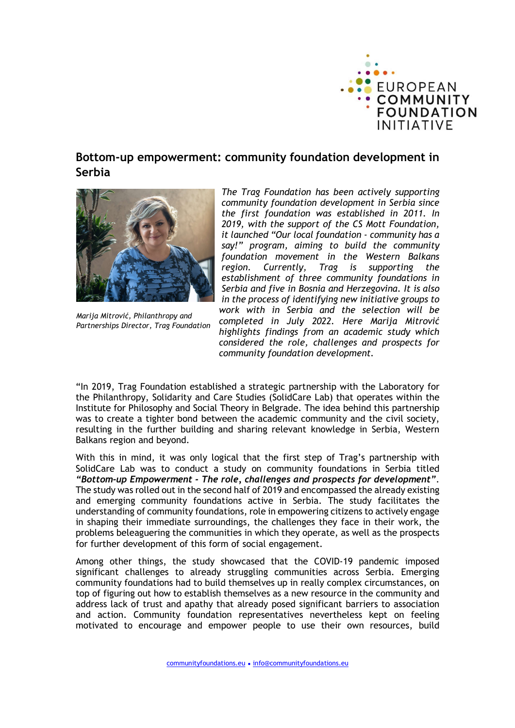

## Bottom-up empowerment: community foundation development in Serbia



Marija Mitrović, Philanthropy and Partnerships Director, Trag Foundation

The Trag Foundation has been actively supporting community foundation development in Serbia since the first foundation was established in 2011. In 2019, with the support of the CS Mott Foundation, it launched "Our local foundation - community has a say!" program, aiming to build the community foundation movement in the Western Balkans region. Currently, Trag is supporting the establishment of three community foundations in Serbia and five in Bosnia and Herzegovina. It is also in the process of identifying new initiative groups to work with in Serbia and the selection will be completed in July 2022. Here Marija Mitrović highlights findings from an academic study which considered the role, challenges and prospects for community foundation development.

"In 2019, Trag Foundation established a strategic partnership with the Laboratory for the Philanthropy, Solidarity and Care Studies (SolidCare Lab) that operates within the Institute for Philosophy and Social Theory in Belgrade. The idea behind this partnership was to create a tighter bond between the academic community and the civil society, resulting in the further building and sharing relevant knowledge in Serbia, Western Balkans region and beyond.

With this in mind, it was only logical that the first step of Trag's partnership with SolidCare Lab was to conduct a study on community foundations in Serbia titled "Bottom-up Empowerment - The role, challenges and prospects for development". The study was rolled out in the second half of 2019 and encompassed the already existing and emerging community foundations active in Serbia. The study facilitates the understanding of community foundations, role in empowering citizens to actively engage in shaping their immediate surroundings, the challenges they face in their work, the problems beleaguering the communities in which they operate, as well as the prospects for further development of this form of social engagement.

Among other things, the study showcased that the COVID-19 pandemic imposed significant challenges to already struggling communities across Serbia. Emerging community foundations had to build themselves up in really complex circumstances, on top of figuring out how to establish themselves as a new resource in the community and address lack of trust and apathy that already posed significant barriers to association and action. Community foundation representatives nevertheless kept on feeling motivated to encourage and empower people to use their own resources, build